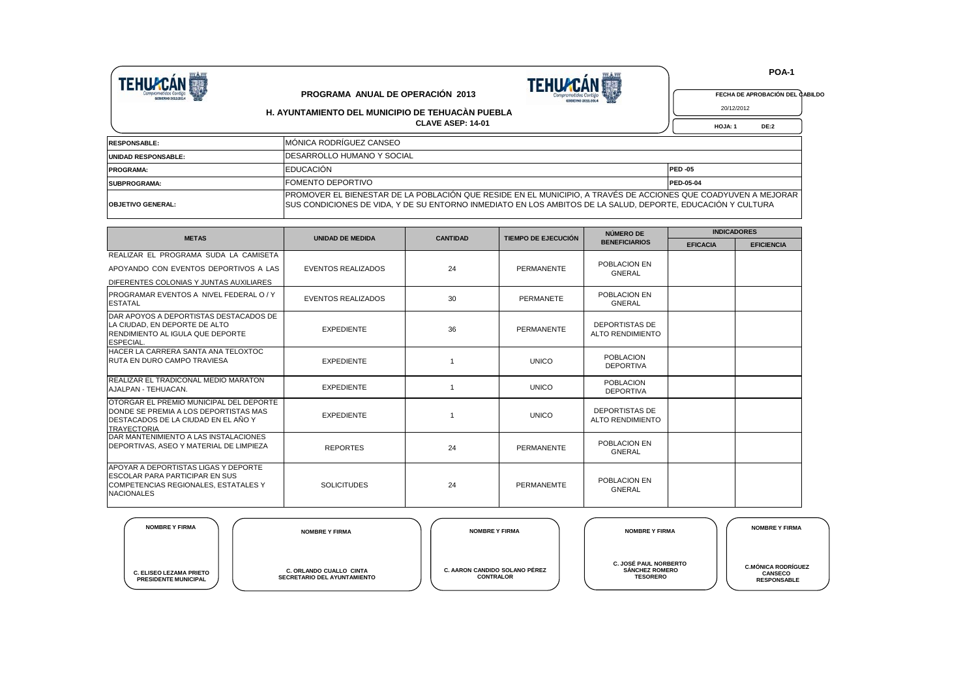



 **POA-1**

**FECHA DE APROBACIÓN DEL CABILDO**

 **HOJA: 1 DE:2** 20/12/2012

**CLAVE ASEP: 14-01 PROGRAMA ANUAL DE OPERACIÓN 2013 H. AYUNTAMIENTO DEL MUNICIPIO DE TEHUACÀN PUEBLA**

| <b>RESPONSABLE:</b>      | IMÓNICA RODRÍGUEZ CANSEO                                                                                                                                                                                                       |           |
|--------------------------|--------------------------------------------------------------------------------------------------------------------------------------------------------------------------------------------------------------------------------|-----------|
| UNIDAD RESPONSABLE:      | <b>IDESARROLLO HUMANO Y SOCIAL</b>                                                                                                                                                                                             |           |
| <b>PROGRAMA:</b>         | <b>EDUCACIÓN</b>                                                                                                                                                                                                               | IPED-05   |
| SUBPROGRAMA:             | <b>FOMENTO DEPORTIVO</b>                                                                                                                                                                                                       | PED-05-04 |
| <b>OBJETIVO GENERAL:</b> | PROMOVER EL BIENESTAR DE LA POBLACIÓN QUE RESIDE EN EL MUNICIPIO, A TRAVÉS DE ACCIONES QUE COADYUVEN A MEJORAR<br>ISUS CONDICIONES DE VIDA, Y DE SU ENTORNO INMEDIATO EN LOS AMBITOS DE LA SALUD, DEPORTE, EDUCACIÓN Y CULTURA |           |

| <b>METAS</b>                                                                                                                                      | <b>UNIDAD DE MEDIDA</b>   | <b>CANTIDAD</b> | TIEMPO DE EJECUCIÓN | NÚMERO DE                                        | <b>INDICADORES</b> |                   |  |  |
|---------------------------------------------------------------------------------------------------------------------------------------------------|---------------------------|-----------------|---------------------|--------------------------------------------------|--------------------|-------------------|--|--|
|                                                                                                                                                   |                           |                 |                     | <b>BENEFICIARIOS</b>                             | <b>EFICACIA</b>    | <b>EFICIENCIA</b> |  |  |
| REALIZAR EL PROGRAMA SUDA LA CAMISETA                                                                                                             |                           |                 |                     |                                                  |                    |                   |  |  |
| APOYANDO CON EVENTOS DEPORTIVOS A LAS                                                                                                             | EVENTOS REALIZADOS        | 24              | PERMANENTE          | POBLACION EN<br>GNERAL                           |                    |                   |  |  |
| DIFERENTES COLONIAS Y JUNTAS AUXILIARES                                                                                                           |                           |                 |                     |                                                  |                    |                   |  |  |
| <b>IPROGRAMAR EVENTOS A NIVEL FEDERAL O / Y</b><br><b>ESTATAL</b>                                                                                 | <b>EVENTOS REALIZADOS</b> | 30              | PERMANETE           | POBLACION EN<br>GNERAL                           |                    |                   |  |  |
| DAR APOYOS A DEPORTISTAS DESTACADOS DE<br>LA CIUDAD. EN DEPORTE DE ALTO<br><b>RENDIMIENTO AL IGULA QUE DEPORTE</b><br>ESPECIAL.                   | <b>EXPEDIENTE</b>         | 36              | PERMANENTE          | <b>DEPORTISTAS DE</b><br>ALTO RENDIMIENTO        |                    |                   |  |  |
| HACER LA CARRERA SANTA ANA TELOXTOC<br>RUTA EN DURO CAMPO TRAVIESA                                                                                | <b>EXPEDIENTE</b>         |                 | <b>UNICO</b>        | <b>POBLACION</b><br><b>DEPORTIVA</b>             |                    |                   |  |  |
| <b>REALIZAR EL TRADICONAL MEDIO MARATON</b><br>AJALPAN - TEHUACAN.                                                                                | <b>EXPEDIENTE</b>         |                 | <b>UNICO</b>        | <b>POBLACION</b><br><b>DEPORTIVA</b>             |                    |                   |  |  |
| OTORGAR EL PREMIO MUNICIPAL DEL DEPORTE<br>DONDE SE PREMIA A LOS DEPORTISTAS MAS<br>IDESTACADOS DE LA CIUDAD EN EL AÑO Y<br><b>TRAYECTORIA</b>    | <b>EXPEDIENTE</b>         |                 | <b>UNICO</b>        | <b>DEPORTISTAS DE</b><br><b>ALTO RENDIMIENTO</b> |                    |                   |  |  |
| DAR MANTENIMIENTO A LAS INSTALACIONES<br><b>IDEPORTIVAS, ASEO Y MATERIAL DE LIMPIEZA</b>                                                          | <b>REPORTES</b>           | 24              | PERMANENTE          | POBLACION EN<br><b>GNERAL</b>                    |                    |                   |  |  |
| <b>APOYAR A DEPORTISTAS LIGAS Y DEPORTE</b><br><b>ESCOLAR PARA PARTICIPAR EN SUS</b><br>COMPETENCIAS REGIONALES, ESTATALES Y<br><b>NACIONALES</b> | <b>SOLICITUDES</b>        | 24              | PERMANEMTE          | POBLACION EN<br><b>GNERAL</b>                    |                    |                   |  |  |

| <b>NOMBRE Y FIRMA</b>                                         | <b>NOMBRE Y FIRMA</b>                                                | <b>NOMBRE Y FIRMA</b>                             | <b>NOMBRE Y FIRMA</b>                                                    | <b>NOMBRE Y FIRMA</b>                                             |
|---------------------------------------------------------------|----------------------------------------------------------------------|---------------------------------------------------|--------------------------------------------------------------------------|-------------------------------------------------------------------|
| <b>C. ELISEO LEZAMA PRIETO</b><br><b>PRESIDENTE MUNICIPAL</b> | <b>C. ORLANDO CUALLO CINTA</b><br><b>SECRETARIO DEL AYUNTAMIENTO</b> | C. AARON CANDIDO SOLANO PÉREZ<br><b>CONTRALOR</b> | <b>C. JOSÉ PAUL NORBERTO</b><br><b>SÁNCHEZ ROMERO</b><br><b>TESORERO</b> | <b>C.MÓNICA RODRÍGUEZ</b><br><b>CANSECO</b><br><b>RESPONSABLE</b> |